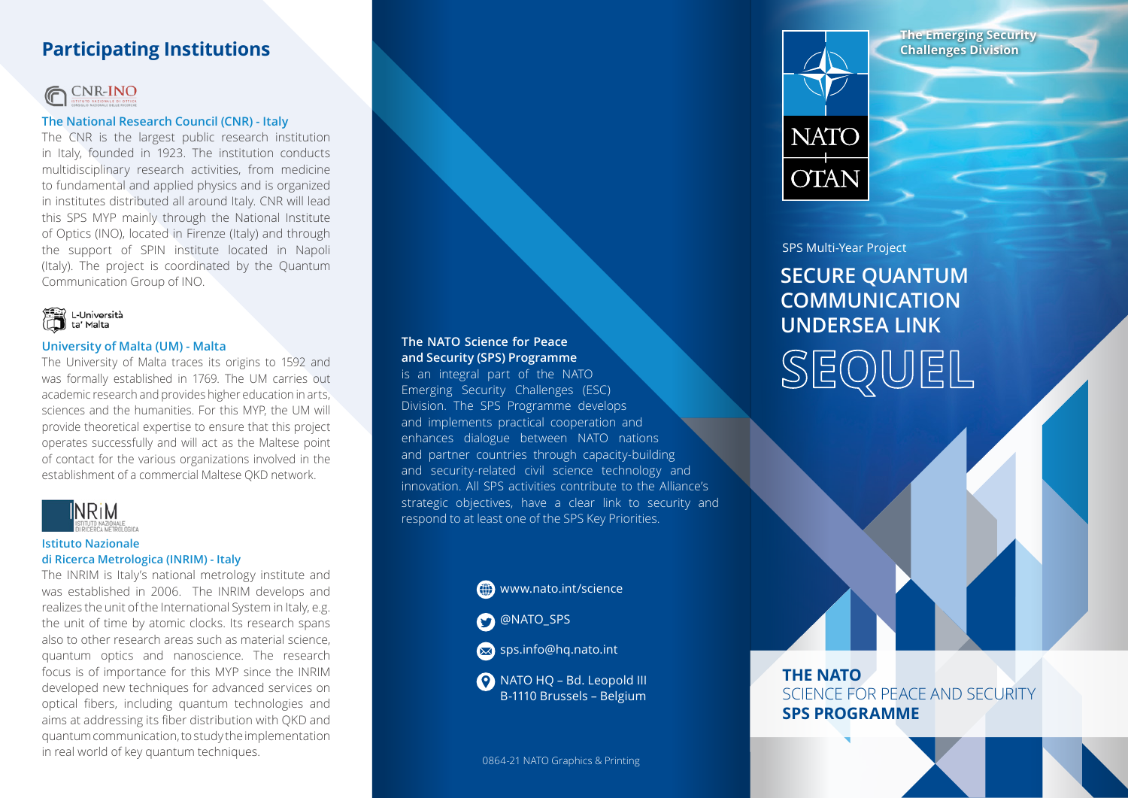# **Participating Institutions**



### **The National Research Council (CNR) - Italy**

The CNR is the largest public research institution in Italy, founded in 1923. The institution conducts multidisciplinary research activities, from medicine to fundamental and applied physics and is organized in institutes distributed all around Italy. CNR will lead this SPS MYP mainly through the National Institute of Optics (INO), located in Firenze (Italy) and through the support of SPIN institute located in Napoli (Italy). The project is coordinated by the Quantum Communication Group of INO.



### **University of Malta (UM) - Malta**

The University of Malta traces its origins to 1592 and was formally established in 1769. The UM carries out academic research and provides higher education in arts, sciences and the humanities. For this MYP, the UM will provide theoretical expertise to ensure that this project operates successfully and will act as the Maltese point of contact for the various organizations involved in the establishment of a commercial Maltese QKD network.



#### **Istituto Nazionale**

### **di Ricerca Metrologica (INRIM) - Italy**

The INRIM is Italy's national metrology institute and was established in 2006. The INRIM develops and realizes the unit of the International System in Italy, e.g. the unit of time by atomic clocks. Its research spans also to other research areas such as material science, quantum optics and nanoscience. The research focus is of importance for this MYP since the INRIM developed new techniques for advanced services on optical fibers, including quantum technologies and aims at addressing its fiber distribution with QKD and quantum communication, to study the implementation in real world of key quantum techniques. 0864-21 NATO Graphics & Printing

### **The NATO Science for Peace and Security (SPS) Programme**

is an integral part of the NATO Emerging Security Challenges (ESC) Division. The SPS Programme develops and implements practical cooperation and enhances dialogue between NATO nations and partner countries through capacity-building and security-related civil science technology and innovation. All SPS activities contribute to the Alliance's strategic objectives, have a clear link to security and respond to at least one of the SPS Key Priorities.



NATO HQ – Bd. Leopold III B-1110 Brussels – Belgium





### SPS Multi-Year Project

**SECURE QUANTUM COMMUNICATION UNDERSEA LINK SEQUEL**

**THE NATO**  SCIENCE FOR PEACE AND SECURITY **SPS PROGRAMME**